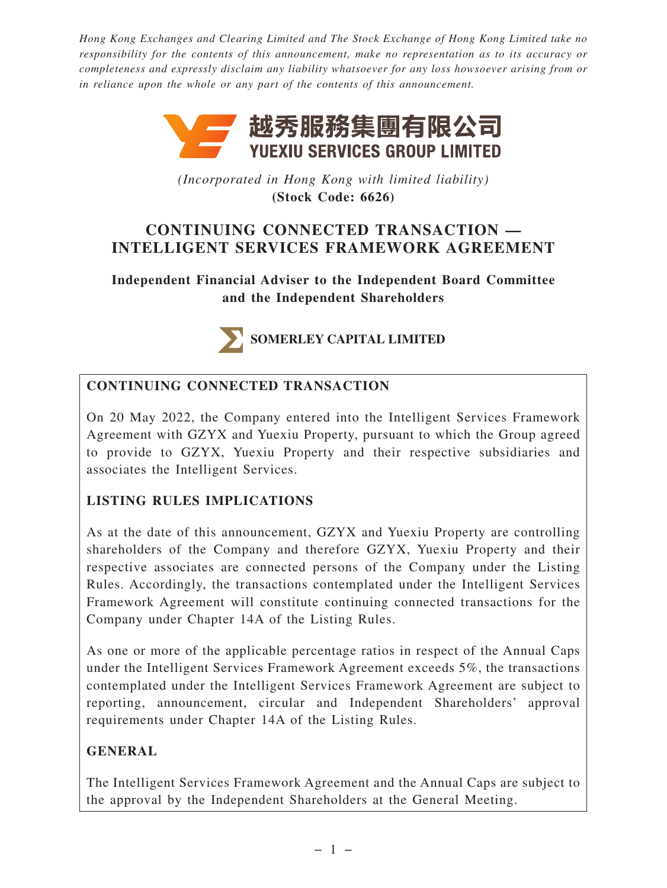*Hong Kong Exchanges and Clearing Limited and The Stock Exchange of Hong Kong Limited take no responsibility for the contents of this announcement, make no representation as to its accuracy or completeness and expressly disclaim any liability whatsoever for any loss howsoever arising from or in reliance upon the whole or any part of the contents of this announcement.*



*(Incorporated in Hong Kong with limited liability)* **(Stock Code: 6626)**

# **CONTINUING CONNECTED TRANSACTION — INTELLIGENT SERVICES FRAMEWORK AGREEMENT**

**Independent Financial Adviser to the Independent Board Committee and the Independent Shareholders**



SOMERLEY CAPITAL LIMITED

## **CONTINUING CONNECTED TRANSACTION**

On 20 May 2022, the Company entered into the Intelligent Services Framework Agreement with GZYX and Yuexiu Property, pursuant to which the Group agreed to provide to GZYX, Yuexiu Property and their respective subsidiaries and associates the Intelligent Services.

## **LISTING RULES IMPLICATIONS**

As at the date of this announcement, GZYX and Yuexiu Property are controlling shareholders of the Company and therefore GZYX, Yuexiu Property and their respective associates are connected persons of the Company under the Listing Rules. Accordingly, the transactions contemplated under the Intelligent Services Framework Agreement will constitute continuing connected transactions for the Company under Chapter 14A of the Listing Rules.

As one or more of the applicable percentage ratios in respect of the Annual Caps under the Intelligent Services Framework Agreement exceeds 5%, the transactions contemplated under the Intelligent Services Framework Agreement are subject to reporting, announcement, circular and Independent Shareholders' approval requirements under Chapter 14A of the Listing Rules.

### **GENERAL**

The Intelligent Services Framework Agreement and the Annual Caps are subject to the approval by the Independent Shareholders at the General Meeting.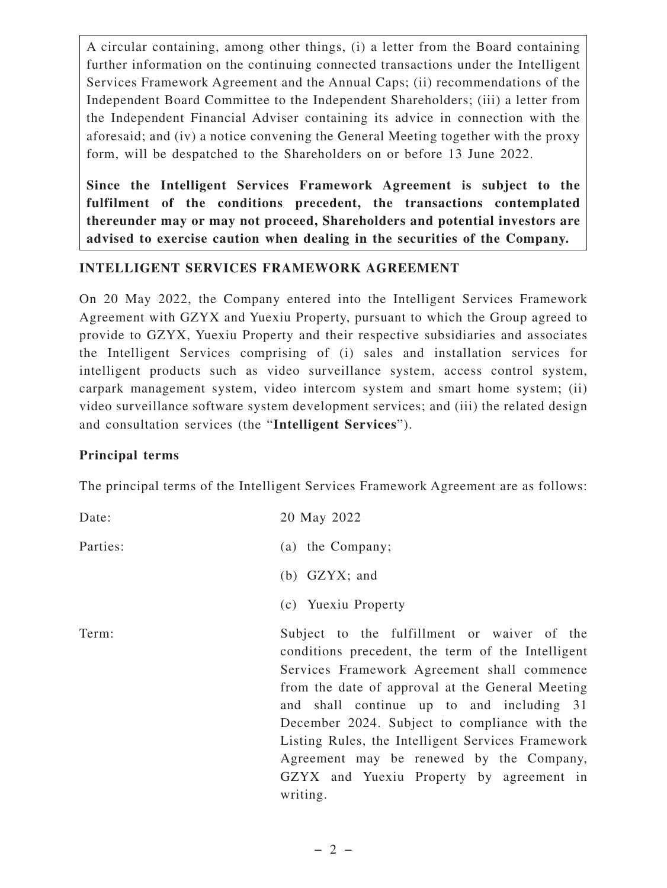A circular containing, among other things, (i) a letter from the Board containing further information on the continuing connected transactions under the Intelligent Services Framework Agreement and the Annual Caps; (ii) recommendations of the Independent Board Committee to the Independent Shareholders; (iii) a letter from the Independent Financial Adviser containing its advice in connection with the aforesaid; and (iv) a notice convening the General Meeting together with the proxy form, will be despatched to the Shareholders on or before 13 June 2022.

**Since the Intelligent Services Framework Agreement is subject to the fulfilment of the conditions precedent, the transactions contemplated thereunder may or may not proceed, Shareholders and potential investors are advised to exercise caution when dealing in the securities of the Company.**

### **INTELLIGENT SERVICES FRAMEWORK AGREEMENT**

On 20 May 2022, the Company entered into the Intelligent Services Framework Agreement with GZYX and Yuexiu Property, pursuant to which the Group agreed to provide to GZYX, Yuexiu Property and their respective subsidiaries and associates the Intelligent Services comprising of (i) sales and installation services for intelligent products such as video surveillance system, access control system, carpark management system, video intercom system and smart home system; (ii) video surveillance software system development services; and (iii) the related design and consultation services (the "**Intelligent Services**").

#### **Principal terms**

The principal terms of the Intelligent Services Framework Agreement are as follows:

| Date:    | 20 May 2022                                                                                                                                                                                                                                                                                                                                                                                                                                                |
|----------|------------------------------------------------------------------------------------------------------------------------------------------------------------------------------------------------------------------------------------------------------------------------------------------------------------------------------------------------------------------------------------------------------------------------------------------------------------|
| Parties: | (a) the Company;                                                                                                                                                                                                                                                                                                                                                                                                                                           |
|          | $(b)$ GZYX; and                                                                                                                                                                                                                                                                                                                                                                                                                                            |
|          | (c) Yuexiu Property                                                                                                                                                                                                                                                                                                                                                                                                                                        |
| Term:    | Subject to the fulfillment or waiver of the<br>conditions precedent, the term of the Intelligent<br>Services Framework Agreement shall commence<br>from the date of approval at the General Meeting<br>and shall continue up to and including 31<br>December 2024. Subject to compliance with the<br>Listing Rules, the Intelligent Services Framework<br>Agreement may be renewed by the Company,<br>GZYX and Yuexiu Property by agreement in<br>writing. |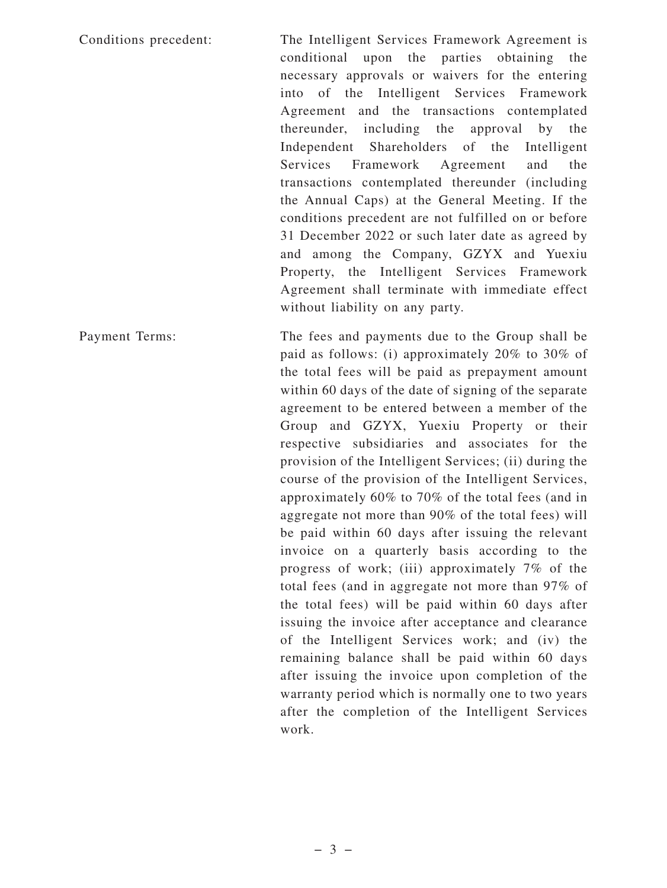Conditions precedent: The Intelligent Services Framework Agreement is conditional upon the parties obtaining the necessary approvals or waivers for the entering into of the Intelligent Services Framework Agreement and the transactions contemplated thereunder, including the approval by the Independent Shareholders of the Intelligent Services Framework Agreement and the transactions contemplated thereunder (including the Annual Caps) at the General Meeting. If the conditions precedent are not fulfilled on or before 31 December 2022 or such later date as agreed by and among the Company, GZYX and Yuexiu Property, the Intelligent Services Framework Agreement shall terminate with immediate effect without liability on any party.

Payment Terms: The fees and payments due to the Group shall be paid as follows: (i) approximately 20% to 30% of the total fees will be paid as prepayment amount within 60 days of the date of signing of the separate agreement to be entered between a member of the Group and GZYX, Yuexiu Property or their respective subsidiaries and associates for the provision of the Intelligent Services; (ii) during the course of the provision of the Intelligent Services, approximately 60% to 70% of the total fees (and in aggregate not more than 90% of the total fees) will be paid within 60 days after issuing the relevant invoice on a quarterly basis according to the progress of work; (iii) approximately 7% of the total fees (and in aggregate not more than 97% of the total fees) will be paid within 60 days after issuing the invoice after acceptance and clearance of the Intelligent Services work; and (iv) the remaining balance shall be paid within 60 days after issuing the invoice upon completion of the warranty period which is normally one to two years after the completion of the Intelligent Services work.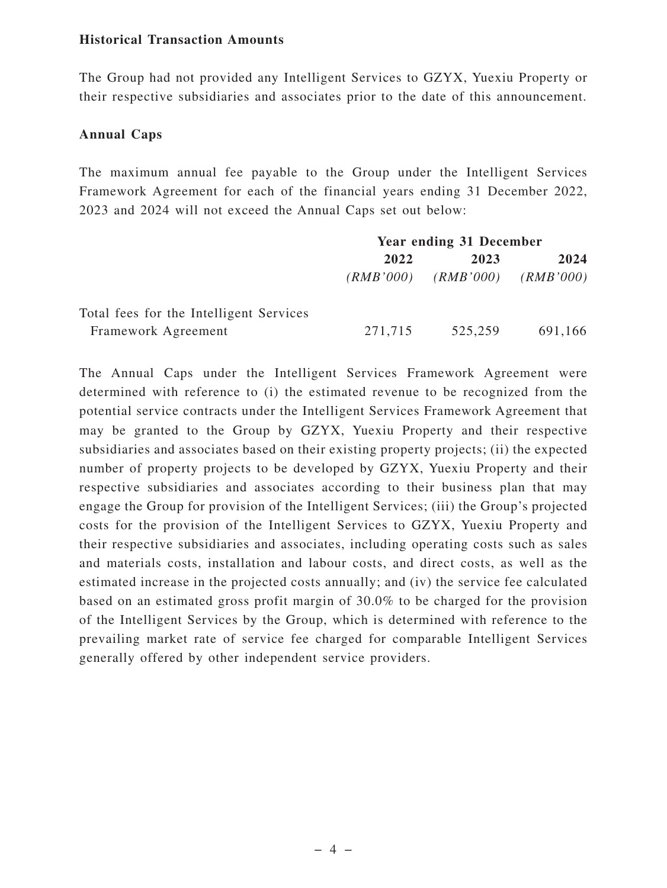#### **Historical Transaction Amounts**

The Group had not provided any Intelligent Services to GZYX, Yuexiu Property or their respective subsidiaries and associates prior to the date of this announcement.

#### **Annual Caps**

The maximum annual fee payable to the Group under the Intelligent Services Framework Agreement for each of the financial years ending 31 December 2022, 2023 and 2024 will not exceed the Annual Caps set out below:

|                                         | <b>Year ending 31 December</b> |           |           |
|-----------------------------------------|--------------------------------|-----------|-----------|
|                                         | 2022                           | 2023      | 2024      |
|                                         | (RMB'000)                      | (RMB'000) | (RMB'000) |
| Total fees for the Intelligent Services |                                |           |           |
| Framework Agreement                     | 271,715                        | 525,259   | 691,166   |

The Annual Caps under the Intelligent Services Framework Agreement were determined with reference to (i) the estimated revenue to be recognized from the potential service contracts under the Intelligent Services Framework Agreement that may be granted to the Group by GZYX, Yuexiu Property and their respective subsidiaries and associates based on their existing property projects; (ii) the expected number of property projects to be developed by GZYX, Yuexiu Property and their respective subsidiaries and associates according to their business plan that may engage the Group for provision of the Intelligent Services; (iii) the Group's projected costs for the provision of the Intelligent Services to GZYX, Yuexiu Property and their respective subsidiaries and associates, including operating costs such as sales and materials costs, installation and labour costs, and direct costs, as well as the estimated increase in the projected costs annually; and (iv) the service fee calculated based on an estimated gross profit margin of 30.0% to be charged for the provision of the Intelligent Services by the Group, which is determined with reference to the prevailing market rate of service fee charged for comparable Intelligent Services generally offered by other independent service providers.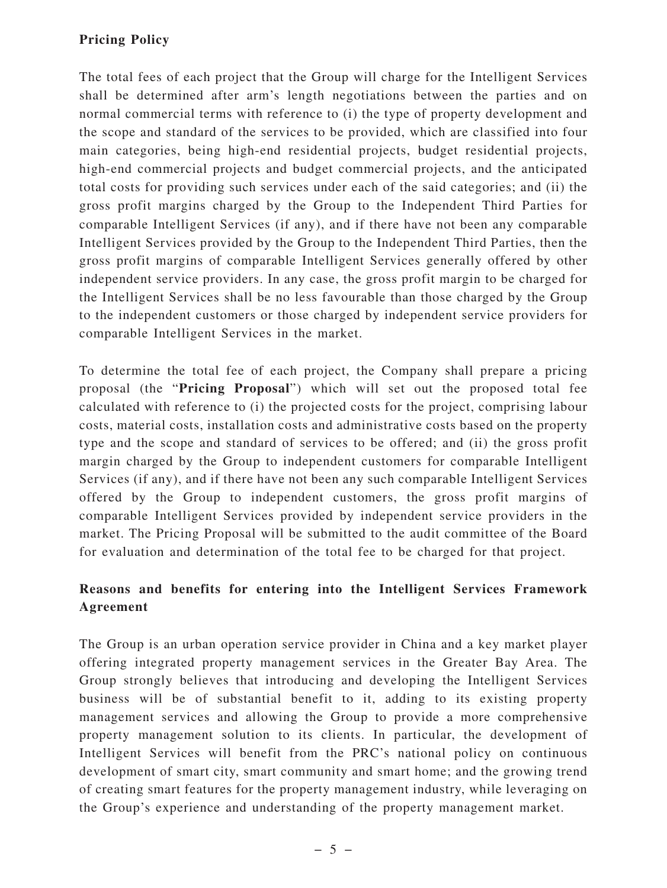## **Pricing Policy**

The total fees of each project that the Group will charge for the Intelligent Services shall be determined after arm's length negotiations between the parties and on normal commercial terms with reference to (i) the type of property development and the scope and standard of the services to be provided, which are classified into four main categories, being high-end residential projects, budget residential projects, high-end commercial projects and budget commercial projects, and the anticipated total costs for providing such services under each of the said categories; and (ii) the gross profit margins charged by the Group to the Independent Third Parties for comparable Intelligent Services (if any), and if there have not been any comparable Intelligent Services provided by the Group to the Independent Third Parties, then the gross profit margins of comparable Intelligent Services generally offered by other independent service providers. In any case, the gross profit margin to be charged for the Intelligent Services shall be no less favourable than those charged by the Group to the independent customers or those charged by independent service providers for comparable Intelligent Services in the market.

To determine the total fee of each project, the Company shall prepare a pricing proposal (the "**Pricing Proposal**") which will set out the proposed total fee calculated with reference to (i) the projected costs for the project, comprising labour costs, material costs, installation costs and administrative costs based on the property type and the scope and standard of services to be offered; and (ii) the gross profit margin charged by the Group to independent customers for comparable Intelligent Services (if any), and if there have not been any such comparable Intelligent Services offered by the Group to independent customers, the gross profit margins of comparable Intelligent Services provided by independent service providers in the market. The Pricing Proposal will be submitted to the audit committee of the Board for evaluation and determination of the total fee to be charged for that project.

## **Reasons and benefits for entering into the Intelligent Services Framework Agreement**

The Group is an urban operation service provider in China and a key market player offering integrated property management services in the Greater Bay Area. The Group strongly believes that introducing and developing the Intelligent Services business will be of substantial benefit to it, adding to its existing property management services and allowing the Group to provide a more comprehensive property management solution to its clients. In particular, the development of Intelligent Services will benefit from the PRC's national policy on continuous development of smart city, smart community and smart home; and the growing trend of creating smart features for the property management industry, while leveraging on the Group's experience and understanding of the property management market.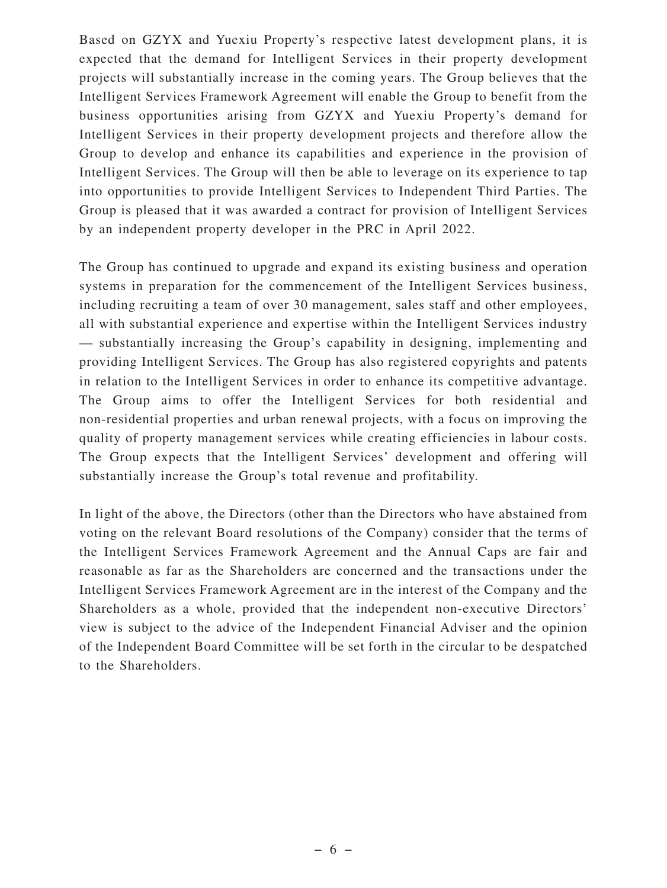Based on GZYX and Yuexiu Property's respective latest development plans, it is expected that the demand for Intelligent Services in their property development projects will substantially increase in the coming years. The Group believes that the Intelligent Services Framework Agreement will enable the Group to benefit from the business opportunities arising from GZYX and Yuexiu Property's demand for Intelligent Services in their property development projects and therefore allow the Group to develop and enhance its capabilities and experience in the provision of Intelligent Services. The Group will then be able to leverage on its experience to tap into opportunities to provide Intelligent Services to Independent Third Parties. The Group is pleased that it was awarded a contract for provision of Intelligent Services by an independent property developer in the PRC in April 2022.

The Group has continued to upgrade and expand its existing business and operation systems in preparation for the commencement of the Intelligent Services business, including recruiting a team of over 30 management, sales staff and other employees, all with substantial experience and expertise within the Intelligent Services industry — substantially increasing the Group's capability in designing, implementing and providing Intelligent Services. The Group has also registered copyrights and patents in relation to the Intelligent Services in order to enhance its competitive advantage. The Group aims to offer the Intelligent Services for both residential and non-residential properties and urban renewal projects, with a focus on improving the quality of property management services while creating efficiencies in labour costs. The Group expects that the Intelligent Services' development and offering will substantially increase the Group's total revenue and profitability.

In light of the above, the Directors (other than the Directors who have abstained from voting on the relevant Board resolutions of the Company) consider that the terms of the Intelligent Services Framework Agreement and the Annual Caps are fair and reasonable as far as the Shareholders are concerned and the transactions under the Intelligent Services Framework Agreement are in the interest of the Company and the Shareholders as a whole, provided that the independent non-executive Directors' view is subject to the advice of the Independent Financial Adviser and the opinion of the Independent Board Committee will be set forth in the circular to be despatched to the Shareholders.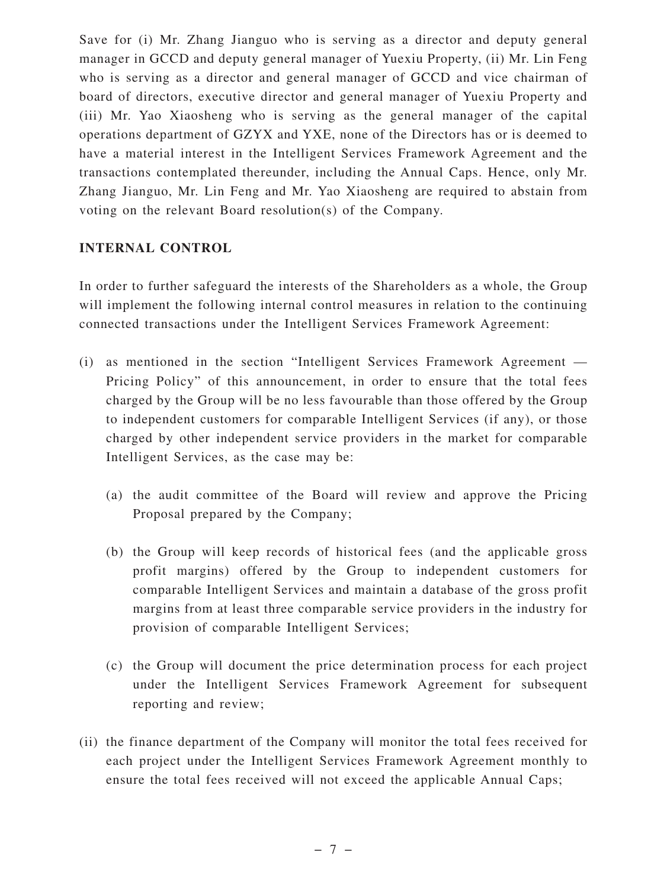Save for (i) Mr. Zhang Jianguo who is serving as a director and deputy general manager in GCCD and deputy general manager of Yuexiu Property, (ii) Mr. Lin Feng who is serving as a director and general manager of GCCD and vice chairman of board of directors, executive director and general manager of Yuexiu Property and (iii) Mr. Yao Xiaosheng who is serving as the general manager of the capital operations department of GZYX and YXE, none of the Directors has or is deemed to have a material interest in the Intelligent Services Framework Agreement and the transactions contemplated thereunder, including the Annual Caps. Hence, only Mr. Zhang Jianguo, Mr. Lin Feng and Mr. Yao Xiaosheng are required to abstain from voting on the relevant Board resolution(s) of the Company.

#### **INTERNAL CONTROL**

In order to further safeguard the interests of the Shareholders as a whole, the Group will implement the following internal control measures in relation to the continuing connected transactions under the Intelligent Services Framework Agreement:

- (i) as mentioned in the section "Intelligent Services Framework Agreement Pricing Policy" of this announcement, in order to ensure that the total fees charged by the Group will be no less favourable than those offered by the Group to independent customers for comparable Intelligent Services (if any), or those charged by other independent service providers in the market for comparable Intelligent Services, as the case may be:
	- (a) the audit committee of the Board will review and approve the Pricing Proposal prepared by the Company;
	- (b) the Group will keep records of historical fees (and the applicable gross profit margins) offered by the Group to independent customers for comparable Intelligent Services and maintain a database of the gross profit margins from at least three comparable service providers in the industry for provision of comparable Intelligent Services;
	- (c) the Group will document the price determination process for each project under the Intelligent Services Framework Agreement for subsequent reporting and review;
- (ii) the finance department of the Company will monitor the total fees received for each project under the Intelligent Services Framework Agreement monthly to ensure the total fees received will not exceed the applicable Annual Caps;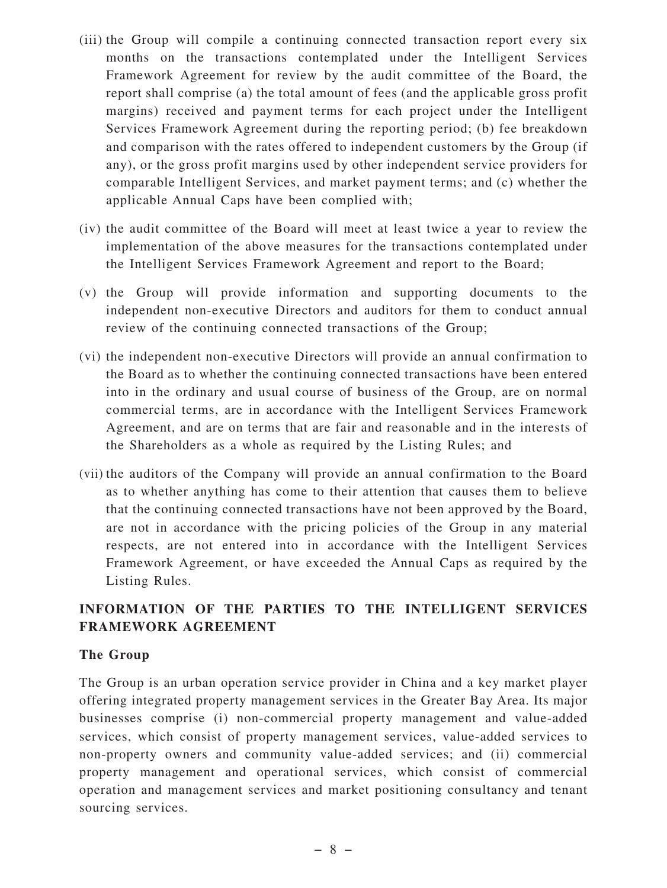- (iii) the Group will compile a continuing connected transaction report every six months on the transactions contemplated under the Intelligent Services Framework Agreement for review by the audit committee of the Board, the report shall comprise (a) the total amount of fees (and the applicable gross profit margins) received and payment terms for each project under the Intelligent Services Framework Agreement during the reporting period; (b) fee breakdown and comparison with the rates offered to independent customers by the Group (if any), or the gross profit margins used by other independent service providers for comparable Intelligent Services, and market payment terms; and (c) whether the applicable Annual Caps have been complied with;
- (iv) the audit committee of the Board will meet at least twice a year to review the implementation of the above measures for the transactions contemplated under the Intelligent Services Framework Agreement and report to the Board;
- (v) the Group will provide information and supporting documents to the independent non-executive Directors and auditors for them to conduct annual review of the continuing connected transactions of the Group;
- (vi) the independent non-executive Directors will provide an annual confirmation to the Board as to whether the continuing connected transactions have been entered into in the ordinary and usual course of business of the Group, are on normal commercial terms, are in accordance with the Intelligent Services Framework Agreement, and are on terms that are fair and reasonable and in the interests of the Shareholders as a whole as required by the Listing Rules; and
- (vii) the auditors of the Company will provide an annual confirmation to the Board as to whether anything has come to their attention that causes them to believe that the continuing connected transactions have not been approved by the Board, are not in accordance with the pricing policies of the Group in any material respects, are not entered into in accordance with the Intelligent Services Framework Agreement, or have exceeded the Annual Caps as required by the Listing Rules.

## **INFORMATION OF THE PARTIES TO THE INTELLIGENT SERVICES FRAMEWORK AGREEMENT**

#### **The Group**

The Group is an urban operation service provider in China and a key market player offering integrated property management services in the Greater Bay Area. Its major businesses comprise (i) non-commercial property management and value-added services, which consist of property management services, value-added services to non-property owners and community value-added services; and (ii) commercial property management and operational services, which consist of commercial operation and management services and market positioning consultancy and tenant sourcing services.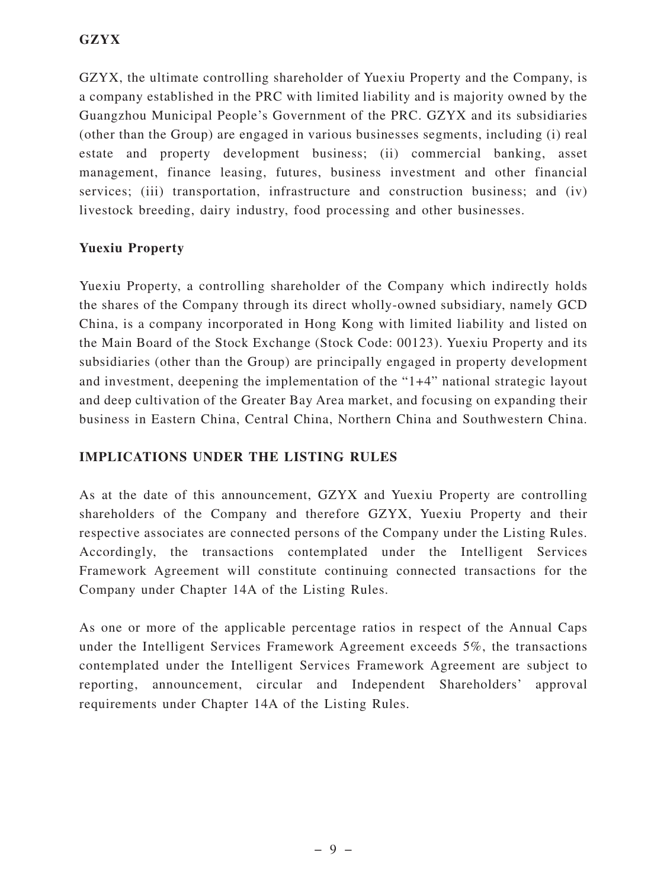GZYX, the ultimate controlling shareholder of Yuexiu Property and the Company, is a company established in the PRC with limited liability and is majority owned by the Guangzhou Municipal People's Government of the PRC. GZYX and its subsidiaries (other than the Group) are engaged in various businesses segments, including (i) real estate and property development business; (ii) commercial banking, asset management, finance leasing, futures, business investment and other financial services; (iii) transportation, infrastructure and construction business; and (iv) livestock breeding, dairy industry, food processing and other businesses.

#### **Yuexiu Property**

Yuexiu Property, a controlling shareholder of the Company which indirectly holds the shares of the Company through its direct wholly-owned subsidiary, namely GCD China, is a company incorporated in Hong Kong with limited liability and listed on the Main Board of the Stock Exchange (Stock Code: 00123). Yuexiu Property and its subsidiaries (other than the Group) are principally engaged in property development and investment, deepening the implementation of the "1+4" national strategic layout and deep cultivation of the Greater Bay Area market, and focusing on expanding their business in Eastern China, Central China, Northern China and Southwestern China.

### **IMPLICATIONS UNDER THE LISTING RULES**

As at the date of this announcement, GZYX and Yuexiu Property are controlling shareholders of the Company and therefore GZYX, Yuexiu Property and their respective associates are connected persons of the Company under the Listing Rules. Accordingly, the transactions contemplated under the Intelligent Services Framework Agreement will constitute continuing connected transactions for the Company under Chapter 14A of the Listing Rules.

As one or more of the applicable percentage ratios in respect of the Annual Caps under the Intelligent Services Framework Agreement exceeds 5%, the transactions contemplated under the Intelligent Services Framework Agreement are subject to reporting, announcement, circular and Independent Shareholders' approval requirements under Chapter 14A of the Listing Rules.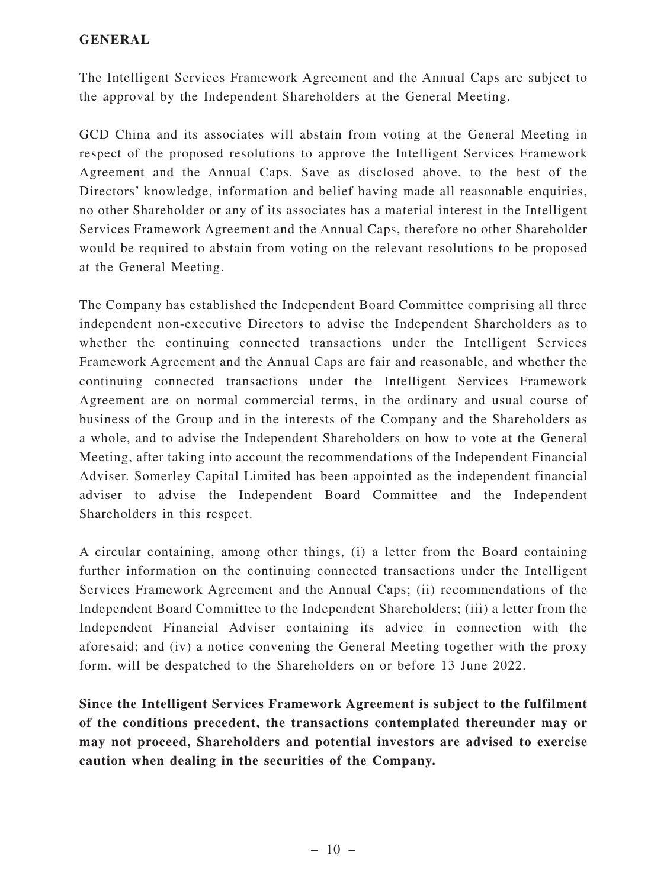#### **GENERAL**

The Intelligent Services Framework Agreement and the Annual Caps are subject to the approval by the Independent Shareholders at the General Meeting.

GCD China and its associates will abstain from voting at the General Meeting in respect of the proposed resolutions to approve the Intelligent Services Framework Agreement and the Annual Caps. Save as disclosed above, to the best of the Directors' knowledge, information and belief having made all reasonable enquiries, no other Shareholder or any of its associates has a material interest in the Intelligent Services Framework Agreement and the Annual Caps, therefore no other Shareholder would be required to abstain from voting on the relevant resolutions to be proposed at the General Meeting.

The Company has established the Independent Board Committee comprising all three independent non-executive Directors to advise the Independent Shareholders as to whether the continuing connected transactions under the Intelligent Services Framework Agreement and the Annual Caps are fair and reasonable, and whether the continuing connected transactions under the Intelligent Services Framework Agreement are on normal commercial terms, in the ordinary and usual course of business of the Group and in the interests of the Company and the Shareholders as a whole, and to advise the Independent Shareholders on how to vote at the General Meeting, after taking into account the recommendations of the Independent Financial Adviser. Somerley Capital Limited has been appointed as the independent financial adviser to advise the Independent Board Committee and the Independent Shareholders in this respect.

A circular containing, among other things, (i) a letter from the Board containing further information on the continuing connected transactions under the Intelligent Services Framework Agreement and the Annual Caps; (ii) recommendations of the Independent Board Committee to the Independent Shareholders; (iii) a letter from the Independent Financial Adviser containing its advice in connection with the aforesaid; and (iv) a notice convening the General Meeting together with the proxy form, will be despatched to the Shareholders on or before 13 June 2022.

**Since the Intelligent Services Framework Agreement is subject to the fulfilment of the conditions precedent, the transactions contemplated thereunder may or may not proceed, Shareholders and potential investors are advised to exercise caution when dealing in the securities of the Company.**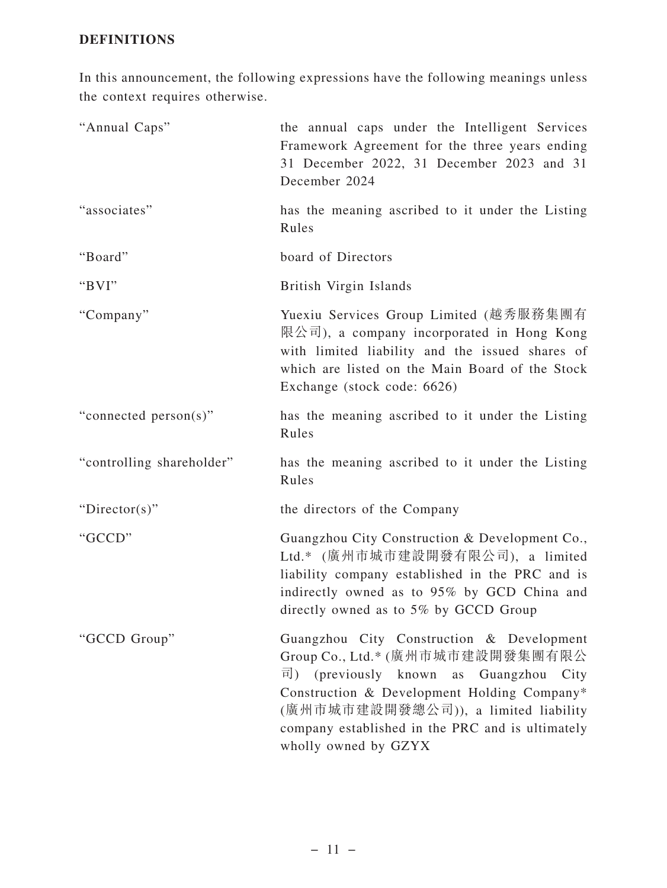### **DEFINITIONS**

In this announcement, the following expressions have the following meanings unless the context requires otherwise.

| "Annual Caps"             | the annual caps under the Intelligent Services<br>Framework Agreement for the three years ending<br>31 December 2022, 31 December 2023 and 31<br>December 2024                                                                                                                                   |
|---------------------------|--------------------------------------------------------------------------------------------------------------------------------------------------------------------------------------------------------------------------------------------------------------------------------------------------|
| "associates"              | has the meaning ascribed to it under the Listing<br>Rules                                                                                                                                                                                                                                        |
| "Board"                   | board of Directors                                                                                                                                                                                                                                                                               |
| "BVI"                     | British Virgin Islands                                                                                                                                                                                                                                                                           |
| "Company"                 | Yuexiu Services Group Limited (越秀服務集團有<br>限公司), a company incorporated in Hong Kong<br>with limited liability and the issued shares of<br>which are listed on the Main Board of the Stock<br>Exchange (stock code: 6626)                                                                         |
| "connected person(s)"     | has the meaning ascribed to it under the Listing<br>Rules                                                                                                                                                                                                                                        |
| "controlling shareholder" | has the meaning ascribed to it under the Listing<br>Rules                                                                                                                                                                                                                                        |
| "Director(s)"             | the directors of the Company                                                                                                                                                                                                                                                                     |
| "GCCD"                    | Guangzhou City Construction & Development Co.,<br>Ltd.* (廣州市城市建設開發有限公司), a limited<br>liability company established in the PRC and is<br>indirectly owned as to 95% by GCD China and<br>directly owned as to 5% by GCCD Group                                                                    |
| "GCCD Group"              | Guangzhou City Construction & Development<br>Group Co., Ltd.* (廣州市城市建設開發集團有限公<br>司)<br>(previously known as Guangzhou<br>City<br>Construction & Development Holding Company*<br>(廣州市城市建設開發總公司)), a limited liability<br>company established in the PRC and is ultimately<br>wholly owned by GZYX |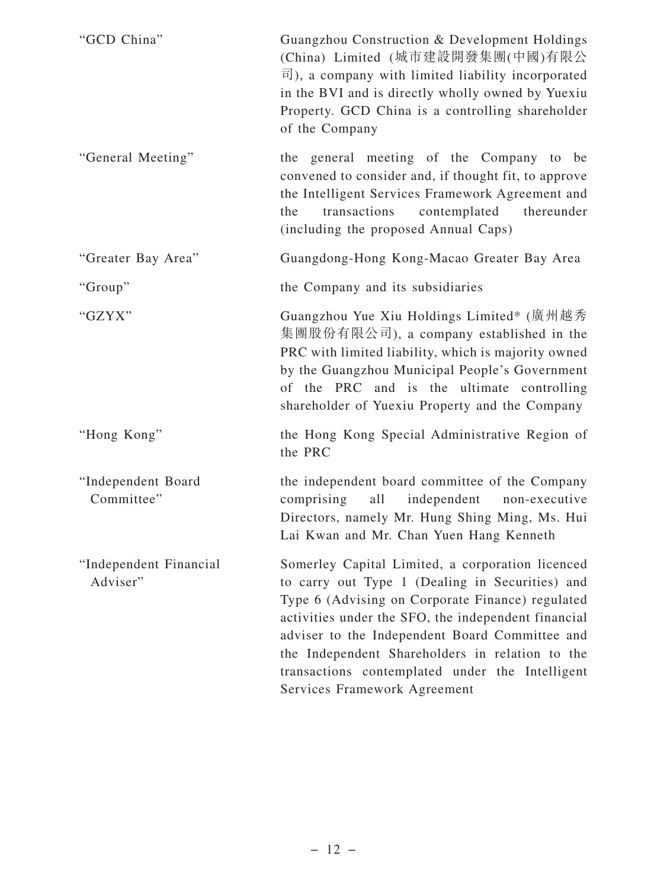| "GCD China"                        | Guangzhou Construction & Development Holdings<br>(China) Limited (城市建設開發集團(中國)有限公<br>$\overline{\mathbb{E}}$ ), a company with limited liability incorporated<br>in the BVI and is directly wholly owned by Yuexiu<br>Property. GCD China is a controlling shareholder<br>of the Company                                                                                                               |
|------------------------------------|--------------------------------------------------------------------------------------------------------------------------------------------------------------------------------------------------------------------------------------------------------------------------------------------------------------------------------------------------------------------------------------------------------|
| "General Meeting"                  | the general meeting of the Company to be<br>convened to consider and, if thought fit, to approve<br>the Intelligent Services Framework Agreement and<br>contemplated<br>transactions<br>thereunder<br>the<br>(including the proposed Annual Caps)                                                                                                                                                      |
| "Greater Bay Area"                 | Guangdong-Hong Kong-Macao Greater Bay Area                                                                                                                                                                                                                                                                                                                                                             |
| "Group"                            | the Company and its subsidiaries                                                                                                                                                                                                                                                                                                                                                                       |
| "GZYX"                             | Guangzhou Yue Xiu Holdings Limited* (廣州越秀<br>集團股份有限公司), a company established in the<br>PRC with limited liability, which is majority owned<br>by the Guangzhou Municipal People's Government<br>of the PRC and is the ultimate controlling<br>shareholder of Yuexiu Property and the Company                                                                                                          |
| "Hong Kong"                        | the Hong Kong Special Administrative Region of<br>the PRC                                                                                                                                                                                                                                                                                                                                              |
| "Independent Board<br>Committee"   | the independent board committee of the Company<br>comprising<br>all<br>independent<br>non-executive<br>Directors, namely Mr. Hung Shing Ming, Ms. Hui<br>Lai Kwan and Mr. Chan Yuen Hang Kenneth                                                                                                                                                                                                       |
| "Independent Financial<br>Adviser" | Somerley Capital Limited, a corporation licenced<br>to carry out Type 1 (Dealing in Securities) and<br>Type 6 (Advising on Corporate Finance) regulated<br>activities under the SFO, the independent financial<br>adviser to the Independent Board Committee and<br>the Independent Shareholders in relation to the<br>transactions contemplated under the Intelligent<br>Services Framework Agreement |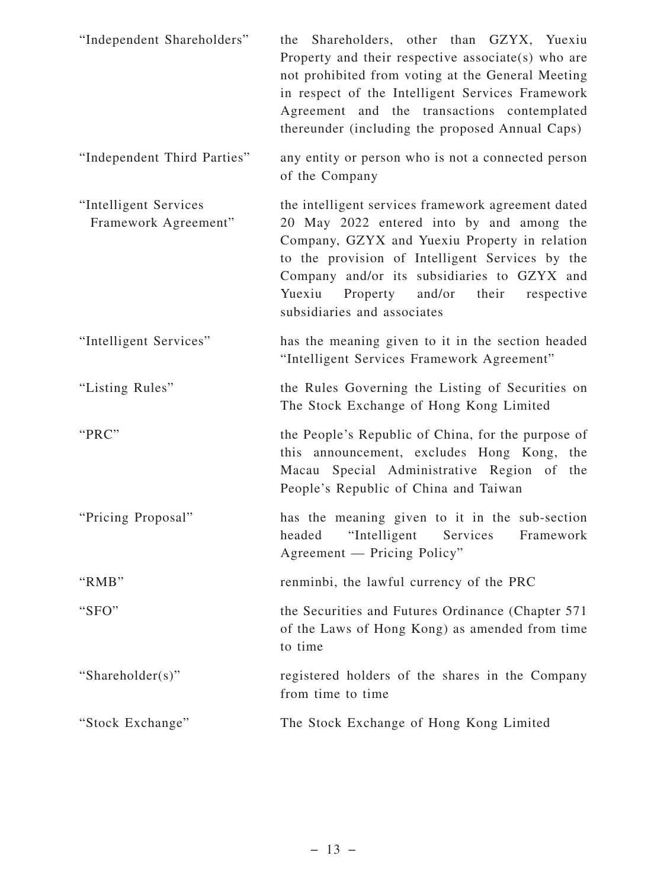| "Independent Shareholders"                    | the Shareholders, other than GZYX, Yuexiu<br>Property and their respective associate(s) who are<br>not prohibited from voting at the General Meeting<br>in respect of the Intelligent Services Framework<br>Agreement and the transactions contemplated<br>thereunder (including the proposed Annual Caps)                         |
|-----------------------------------------------|------------------------------------------------------------------------------------------------------------------------------------------------------------------------------------------------------------------------------------------------------------------------------------------------------------------------------------|
| "Independent Third Parties"                   | any entity or person who is not a connected person<br>of the Company                                                                                                                                                                                                                                                               |
| "Intelligent Services<br>Framework Agreement" | the intelligent services framework agreement dated<br>20 May 2022 entered into by and among the<br>Company, GZYX and Yuexiu Property in relation<br>to the provision of Intelligent Services by the<br>Company and/or its subsidiaries to GZYX and<br>Yuexiu<br>Property and/or<br>their respective<br>subsidiaries and associates |
| "Intelligent Services"                        | has the meaning given to it in the section headed<br>"Intelligent Services Framework Agreement"                                                                                                                                                                                                                                    |
| "Listing Rules"                               | the Rules Governing the Listing of Securities on<br>The Stock Exchange of Hong Kong Limited                                                                                                                                                                                                                                        |
| "PRC"                                         | the People's Republic of China, for the purpose of<br>this announcement, excludes Hong Kong, the<br>Macau Special Administrative Region of<br>the<br>People's Republic of China and Taiwan                                                                                                                                         |
| "Pricing Proposal"                            | has the meaning given to it in the sub-section<br>headed<br>"Intelligent"<br>Services<br>Framework<br>Agreement — Pricing Policy"                                                                                                                                                                                                  |
| "RMB"                                         | renminbi, the lawful currency of the PRC                                                                                                                                                                                                                                                                                           |
| "SFO"                                         | the Securities and Futures Ordinance (Chapter 571)<br>of the Laws of Hong Kong) as amended from time<br>to time                                                                                                                                                                                                                    |
| "Shareholder(s)"                              | registered holders of the shares in the Company<br>from time to time                                                                                                                                                                                                                                                               |
| "Stock Exchange"                              | The Stock Exchange of Hong Kong Limited                                                                                                                                                                                                                                                                                            |